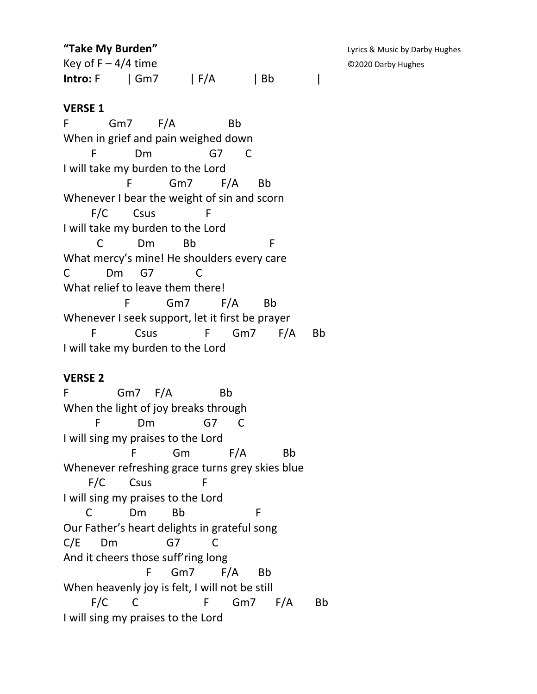**"Take My Burden"** Computer of the United States of the United States of Lyrics & Music by Darby Hughes

Key of  $F - 4/4$  time  $Q2020$  Darby Hughes **Intro:** F | Gm7 | F/A | Bb |

## **VERSE 1**

F Gm7 F/A Bb When in grief and pain weighed down F Dm G7 C I will take my burden to the Lord F Gm7 F/A Bb Whenever I bear the weight of sin and scorn F/C Csus F I will take my burden to the Lord C Dm Bb F What mercy's mine! He shoulders every care C Dm G7 C What relief to leave them there! F Gm7 F/A Bb Whenever I seek support, let it first be prayer F Csus F Gm7 F/A Bb I will take my burden to the Lord

## **VERSE 2**

F Gm7 F/A Bb When the light of joy breaks through F Dm G7 C I will sing my praises to the Lord F Gm F/A Bb Whenever refreshing grace turns grey skies blue F/C Csus F I will sing my praises to the Lord C Dm Bb F Our Father's heart delights in grateful song C/E Dm G7 C And it cheers those suff'ring long F Gm7 F/A Bb When heavenly joy is felt, I will not be still F/C C F Gm7 F/A Bb I will sing my praises to the Lord